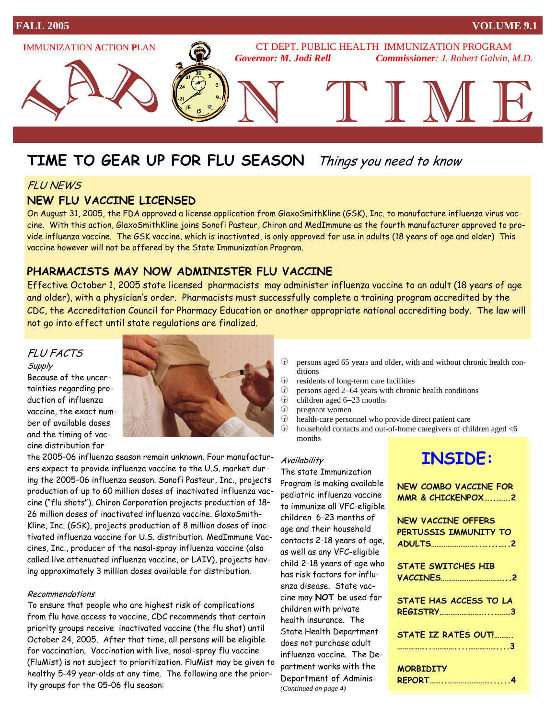

## **TIME TO GEAR UP FOR FLU SEASON** Things you need to know

## FLU NEWS

## **NEW FLU VACCINE LICENSED**

On August 31, 2005, the FDA approved a license application from GlaxoSmithKline (GSK), Inc. to manufacture influenza virus vaccine. With this action, GlaxoSmithKline joins Sonofi Pasteur, Chiron and MedImmune as the fourth manufacturer approved to provide influenza vaccine. The GSK vaccine, which is inactivated, is only approved for use in adults (18 years of age and older) This vaccine however will not be offered by the State Immunization Program.

## **PHARMACISTS MAY NOW ADMINISTER FLU VACCINE**

Effective October 1, 2005 state licensed pharmacists may administer influenza vaccine to an adult (18 years of age and older), with a physician's order. Pharmacists must successfully complete a training program accredited by the CDC, the Accreditation Council for Pharmacy Education or another appropriate national accrediting body. The law will not go into effect until state regulations are finalized.

#### FLU FACTS **Supply**

Because of the uncertainties regarding production of influenza vaccine, the exact number of available doses and the timing of vaccine distribution for



the 2005–06 influenza season remain unknown. Four manufacturers expect to provide influenza vaccine to the U.S. market during the 2005–06 influenza season. Sanofi Pasteur, Inc., projects production of up to 60 million doses of inactivated influenza vaccine ("flu shots"). Chiron Corporation projects production of 18– 26 million doses of inactivated influenza vaccine. GlaxoSmith-Kline, Inc. (GSK), projects production of 8 million doses of inactivated influenza vaccine for U.S. distribution. MedImmune Vaccines, Inc., producer of the nasal-spray influenza vaccine (also called live attenuated influenza vaccine, or LAIV), projects having approximately 3 million doses available for distribution.

#### Recommendations

To ensure that people who are highest risk of complications from flu have access to vaccine, CDC recommends that certain priority groups receive inactivated vaccine (the flu shot) until October 24, 2005. After that time, all persons will be eligible for vaccination. Vaccination with live, nasal-spray flu vaccine (FluMist) is not subject to prioritization. FluMist may be given to healthy 5-49 year-olds at any time. The following are the priority groups for the 05-06 flu season:

- $\oplus$  persons aged 65 years and older, with and without chronic health conditions
- $\oplus$  residents of long-term care facilities
- $\oplus$  persons aged 2–64 years with chronic health conditions<br> $\oplus$  children aged 6–23 months
- children aged 6–23 months
- $\oplus$  pregnant women
- $\oplus$  health-care personnel who provide direct patient care
- $\oplus$  household contacts and out-of-home caregivers of children aged <6 months

#### **Availability**

The state Immunization Program is making available pediatric influenza vaccine to immunize all VFC-eligible children 6-23 months of age and their household contacts 2-18 years of age, as well as any VFC-eligible child 2-18 years of age who has risk factors for influenza disease. State vaccine may **NOT** be used for children with private health insurance. The State Health Department does not purchase adult influenza vaccine. The Department works with the Department of Adminis- *(Continued on page 4)* 

## **INSIDE:**

| NEW COMBO VACCINE FOR     |
|---------------------------|
| MMR & CHICKENPOX2         |
| <b>NEW VACCINE OFFERS</b> |
| PERTUSSIS IMMUNITY TO     |
|                           |
| <b>STATE SWITCHES HIB</b> |
|                           |
| STATE HAS ACCESS TO LA    |
| REGISTRY3                 |
| STATE IZ RATES OUT!       |
|                           |
| <b>MORBIDITY</b>          |
|                           |
|                           |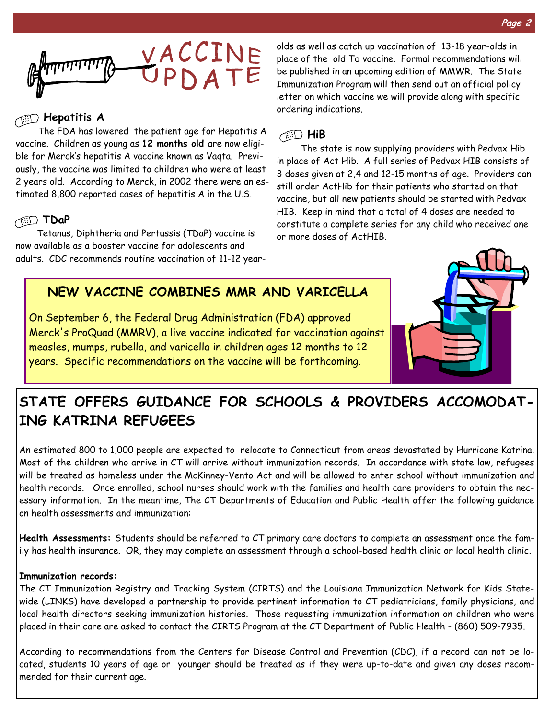

## **Hepatitis A**

The FDA has lowered the patient age for Hepatitis A vaccine. Children as young as **12 months old** are now eligible for Merck's hepatitis A vaccine known as Vaqta. Previously, the vaccine was limited to children who were at least 2 years old. According to Merck, in 2002 there were an estimated 8,800 reported cases of hepatitis A in the U.S.

## **TDaP**

Tetanus, Diphtheria and Pertussis (TDaP) vaccine is now available as a booster vaccine for adolescents and adults. CDC recommends routine vaccination of 11-12 yearolds as well as catch up vaccination of 13-18 year-olds in place of the old Td vaccine. Formal recommendations will be published in an upcoming edition of MMWR. The State Immunization Program will then send out an official policy letter on which vaccine we will provide along with specific ordering indications.

## **HiB**

The state is now supplying providers with Pedvax Hib in place of Act Hib. A full series of Pedvax HIB consists of 3 doses given at 2,4 and 12-15 months of age. Providers can still order ActHib for their patients who started on that vaccine, but all new patients should be started with Pedvax HIB. Keep in mind that a total of 4 doses are needed to constitute a complete series for any child who received one or more doses of ActHIB.

## **NEW VACCINE COMBINES MMR AND VARICELLA**

On September 6, the Federal Drug Administration (FDA) approved Merck's ProQuad (MMRV), a live vaccine indicated for vaccination against measles, mumps, rubella, and varicella in children ages 12 months to 12 years. Specific recommendations on the vaccine will be forthcoming.



## **STATE OFFERS GUIDANCE FOR SCHOOLS & PROVIDERS ACCOMODAT-ING KATRINA REFUGEES**

An estimated 800 to 1,000 people are expected to relocate to Connecticut from areas devastated by Hurricane Katrina. Most of the children who arrive in CT will arrive without immunization records. In accordance with state law, refugees will be treated as homeless under the McKinney-Vento Act and will be allowed to enter school without immunization and health records. Once enrolled, school nurses should work with the families and health care providers to obtain the necessary information. In the meantime, The CT Departments of Education and Public Health offer the following guidance on health assessments and immunization:

**Health Assessments:** Students should be referred to CT primary care doctors to complete an assessment once the family has health insurance. OR, they may complete an assessment through a school-based health clinic or local health clinic.

### **Immunization records:**

The CT Immunization Registry and Tracking System (CIRTS) and the Louisiana Immunization Network for Kids Statewide (LINKS) have developed a partnership to provide pertinent information to CT pediatricians, family physicians, and local health directors seeking immunization histories. Those requesting immunization information on children who were placed in their care are asked to contact the CIRTS Program at the CT Department of Public Health - (860) 509-7935.

According to recommendations from the Centers for Disease Control and Prevention (CDC), if a record can not be located, students 10 years of age or younger should be treated as if they were up-to-date and given any doses recommended for their current age.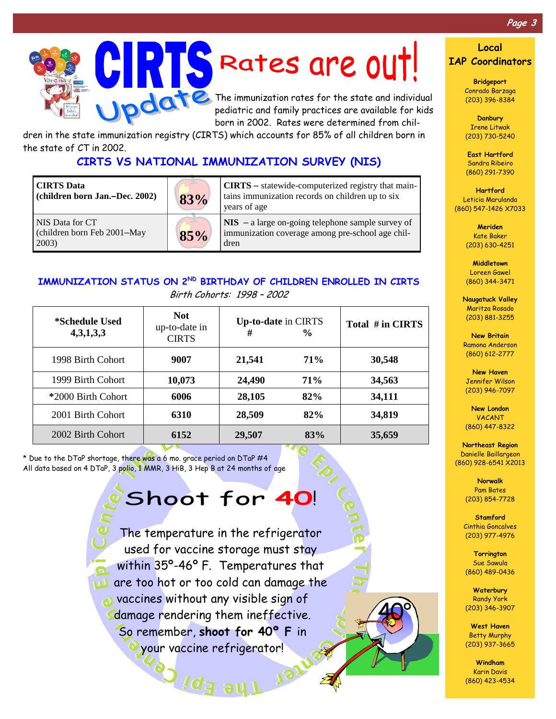

# RTS Rates are out!

The immunization rates for the state and individual pediatric and family practices are available for kids born in 2002. Rates were determined from chil-

dren in the state immunization registry (CIRTS) which accounts for 85% of all children born in the state of CT in 2002.

## **CIRTS VS NATIONAL IMMUNIZATION SURVEY (NIS)**

| <b>CIRTS Data</b><br>(children born Jan.-Dec. 2002)     | 83% | <b>CIRTS</b> – statewide-computerized registry that main-<br>tains immunization records on children up to six<br>years of age |
|---------------------------------------------------------|-----|-------------------------------------------------------------------------------------------------------------------------------|
| NIS Data for CT<br>(children born Feb 2001-May<br>2003) | 85% | $\vert$ NIS $-$ a large on-going telephone sample survey of<br>immunization coverage among pre-school age chil-<br>dren       |

## **IMMUNIZATION STATUS ON 2<sup>ND</sup> BIRTHDAY OF CHILDREN ENROLLED IN CIRTS** Birth Cohorts: 1998 – 2002

| *Schedule Used<br>4,3,1,3,3 | <b>Not</b><br>up-to-date in<br><b>CIRTS</b> | <b>Up-to-date in CIRTS</b><br># | $\frac{6}{9}$ | Total # in CIRTS |
|-----------------------------|---------------------------------------------|---------------------------------|---------------|------------------|
| 1998 Birth Cohort           | 9007                                        | 21,541                          | <b>71%</b>    | 30,548           |
| 1999 Birth Cohort           | 10,073                                      | 24,490                          | <b>71%</b>    | 34,563           |
| *2000 Birth Cohort          | 6006                                        | 28,105                          | 82%           | 34,111           |
| 2001 Birth Cohort           | 6310                                        | 28,509                          | 82%           | 34,819           |
| 2002 Birth Cohort           | 6152                                        | 29,507                          | 83%           | 35,659           |

\* Due to the DTaP shortage, there was a 6 mo. grace period on DTaP #4 All data based on 4 DTaP, 3 polio, 1 MMR, 3 HiB, 3 Hep B at 24 months of age

## Shoot for **40**!

The temperature in the refrigerator used for vaccine storage must stay within 35º-46º F. Temperatures that all are too hot or too cold can damage the a vaccines without any visible sign of damage rendering them ineffective. So remember, **shoot for 40º F** in your vaccine refrigerator!

131

## **Local IAP Coordinators**

**Bridgeport**  Conrado Barzaga (203) 396-8384

**Danbury**  Irene Litwak (203) 730-5240

**East Hartford**  Sandra Ribeiro (860) 291-7390

**Hartford**  Leticia Marulanda (860) 547-1426 X7033

> **Meriden**  Kate Baker (203) 630-4251

**Middletown**  Loreen Gawel (860) 344-3471

**Naugatuck Valley**  Maritza Rosado (203) 881-3255

**New Britain**  Ramona Anderson (860) 612-2777

**New Haven**  Jennifer Wilson (203) 946-7097

**New London**  VACANT (860) 447-8322

**Northeast Region**  Danielle Baillargeon (860) 928-6541 X2013

> **Norwalk**  Pam Bates (203) 854-7728

**Stamford**  Cinthia Goncalves (203) 977-4976

**Torrington**  Sue Sawula (860) 489-0436

**Waterbury**  Randy York (203) 346-3907

40°

**West Haven**  Betty Murphy (203) 937-3665

**Windham**  Karin Davis (860) 423-4534